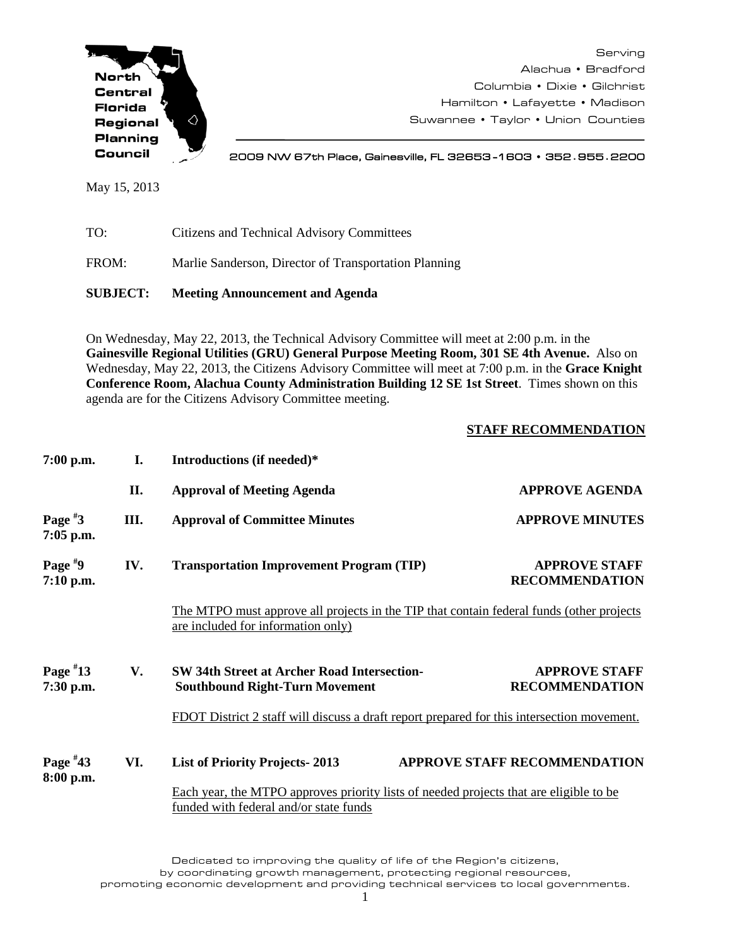

Serving Alachua • Bradford Columbia • Dixie • Gilchrist Hamilton • Lafayette • Madison Suwannee • Taylor • Union Counties

2009 NW 67th Place, Gainesville, FL 32653 -1603 • 352**.**955**.**2200

May 15, 2013

TO: Citizens and Technical Advisory Committees

FROM: Marlie Sanderson, Director of Transportation Planning

**SUBJECT: Meeting Announcement and Agenda**

On Wednesday, May 22, 2013, the Technical Advisory Committee will meet at 2:00 p.m. in the **Gainesville Regional Utilities (GRU) General Purpose Meeting Room, 301 SE 4th Avenue.** Also on Wednesday, May 22, 2013, the Citizens Advisory Committee will meet at 7:00 p.m. in the **Grace Knight Conference Room, Alachua County Administration Building 12 SE 1st Street**. Times shown on this agenda are for the Citizens Advisory Committee meeting.

## **STAFF RECOMMENDATION**

| $7:00$ p.m.             | I.                                                                                                                               | Introductions (if needed)*                                                                                                                                                                |                                               |  |
|-------------------------|----------------------------------------------------------------------------------------------------------------------------------|-------------------------------------------------------------------------------------------------------------------------------------------------------------------------------------------|-----------------------------------------------|--|
|                         | II.                                                                                                                              | <b>Approval of Meeting Agenda</b>                                                                                                                                                         | <b>APPROVE AGENDA</b>                         |  |
| Page $*3$<br>7:05 p.m.  | Ш.                                                                                                                               | <b>Approval of Committee Minutes</b>                                                                                                                                                      | <b>APPROVE MINUTES</b>                        |  |
| Page $*9$<br>7:10 p.m.  | IV.                                                                                                                              | <b>Transportation Improvement Program (TIP)</b>                                                                                                                                           | <b>APPROVE STAFF</b><br><b>RECOMMENDATION</b> |  |
|                         |                                                                                                                                  | The MTPO must approve all projects in the TIP that contain federal funds (other projects)<br>are included for information only)                                                           |                                               |  |
| Page $*13$<br>7:30 p.m. | V.                                                                                                                               | <b>SW 34th Street at Archer Road Intersection-</b><br><b>Southbound Right-Turn Movement</b><br>FDOT District 2 staff will discuss a draft report prepared for this intersection movement. | <b>APPROVE STAFF</b><br><b>RECOMMENDATION</b> |  |
| Page $*43$<br>8:00 p.m. | VI.                                                                                                                              | <b>List of Priority Projects-2013</b>                                                                                                                                                     | <b>APPROVE STAFF RECOMMENDATION</b>           |  |
|                         | Each year, the MTPO approves priority lists of needed projects that are eligible to be<br>funded with federal and/or state funds |                                                                                                                                                                                           |                                               |  |